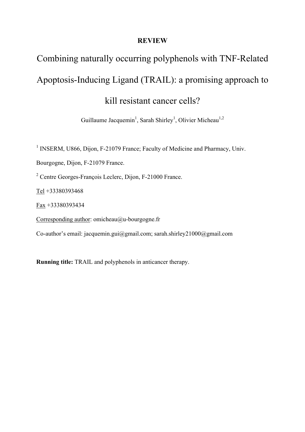# **REVIEW**

# Combining naturally occurring polyphenols with TNF-Related Apoptosis-Inducing Ligand (TRAIL): a promising approach to kill resistant cancer cells?

Guillaume Jacquemin<sup>1</sup>, Sarah Shirley<sup>1</sup>, Olivier Micheau<sup>1,2</sup>

<sup>1</sup> INSERM, U866, Dijon, F-21079 France; Faculty of Medicine and Pharmacy, Univ.

Bourgogne, Dijon, F-21079 France.

<sup>2</sup> Centre Georges-François Leclerc, Dijon, F-21000 France.

Tel +33380393468

Fax +33380393434

Corresponding author: omicheau@u-bourgogne.fr

Co-author's email: jacquemin.gui@gmail.com; sarah.shirley21000@gmail.com

**Running title:** TRAIL and polyphenols in anticancer therapy.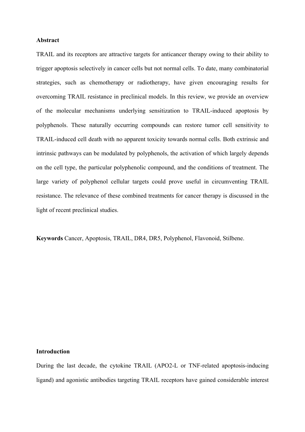#### **Abstract**

TRAIL and its receptors are attractive targets for anticancer therapy owing to their ability to trigger apoptosis selectively in cancer cells but not normal cells. To date, many combinatorial strategies, such as chemotherapy or radiotherapy, have given encouraging results for overcoming TRAIL resistance in preclinical models. In this review, we provide an overview of the molecular mechanisms underlying sensitization to TRAIL-induced apoptosis by polyphenols. These naturally occurring compounds can restore tumor cell sensitivity to TRAIL-induced cell death with no apparent toxicity towards normal cells. Both extrinsic and intrinsic pathways can be modulated by polyphenols, the activation of which largely depends on the cell type, the particular polyphenolic compound, and the conditions of treatment. The large variety of polyphenol cellular targets could prove useful in circumventing TRAIL resistance. The relevance of these combined treatments for cancer therapy is discussed in the light of recent preclinical studies.

**Keywords** Cancer, Apoptosis, TRAIL, DR4, DR5, Polyphenol, Flavonoid, Stilbene.

#### **Introduction**

During the last decade, the cytokine TRAIL (APO2-L or TNF-related apoptosis-inducing ligand) and agonistic antibodies targeting TRAIL receptors have gained considerable interest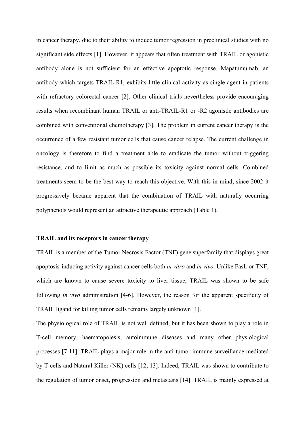in cancer therapy, due to their ability to induce tumor regression in preclinical studies with no significant side effects [1]. However, it appears that often treatment with TRAIL or agonistic antibody alone is not sufficient for an effective apoptotic response. Mapatumumab, an antibody which targets TRAIL-R1, exhibits little clinical activity as single agent in patients with refractory colorectal cancer [2]. Other clinical trials nevertheless provide encouraging results when recombinant human TRAIL or anti-TRAIL-R1 or -R2 agonistic antibodies are combined with conventional chemotherapy [3]. The problem in current cancer therapy is the occurrence of a few resistant tumor cells that cause cancer relapse. The current challenge in oncology is therefore to find a treatment able to eradicate the tumor without triggering resistance, and to limit as much as possible its toxicity against normal cells. Combined treatments seem to be the best way to reach this objective. With this in mind, since 2002 it progressively became apparent that the combination of TRAIL with naturally occurring polyphenols would represent an attractive therapeutic approach (Table 1)*.*

### **TRAIL and its receptors in cancer therapy**

TRAIL is a member of the Tumor Necrosis Factor (TNF) gene superfamily that displays great apoptosis-inducing activity against cancer cells both *in vitro* and *in vivo*. Unlike FasL or TNF, which are known to cause severe toxicity to liver tissue, TRAIL was shown to be safe following *in vivo* administration [4-6]. However, the reason for the apparent specificity of TRAIL ligand for killing tumor cells remains largely unknown [1].

The physiological role of TRAIL is not well defined, but it has been shown to play a role in T-cell memory, haematopoiesis, autoimmune diseases and many other physiological processes [7-11]. TRAIL plays a major role in the anti-tumor immune surveillance mediated by T-cells and Natural Killer (NK) cells [12, 13]. Indeed, TRAIL was shown to contribute to the regulation of tumor onset, progression and metastasis [14]. TRAIL is mainly expressed at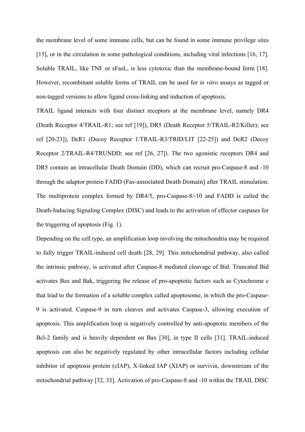the membrane level of some immune cells, but can be found in some immune privilege sites [15], or in the circulation in some pathological conditions, including viral infections [16, 17]. Soluble TRAIL, like TNF or sFasL, is less cytotoxic than the membrane-bound form [18]. However, recombinant soluble forms of TRAIL can be used for *in vitro* assays as tagged or non-tagged versions to allow ligand cross-linking and induction of apoptosis.

TRAIL ligand interacts with four distinct receptors at the membrane level, namely DR4 (Death Receptor 4/TRAIL-R1; see ref [19]), DR5 (Death Receptor 5/TRAIL-R2/Killer); see ref [20-23]), DcR1 (Decoy Receptor 1/TRAIL-R3/TRID/LIT [22-25]) and DcR2 (Decoy Receptor 2/TRAIL-R4/TRUNDD; see ref [26, 27]). The two agonistic receptors DR4 and DR5 contain an intracellular Death Domain (DD), which can recruit pro-Caspase-8 and -10 through the adaptor protein FADD (Fas‐associated Death Domain) after TRAIL stimulation. The multiprotein complex formed by DR4/5, pro-Caspase-8/-10 and FADD is called the Death-Inducing Signaling Complex (DISC) and leads to the activation of effector caspases for the triggering of apoptosis (Fig. 1).

Depending on the cell type, an amplification loop involving the mitochondria may be required to fully trigger TRAIL-induced cell death [28, 29]. This mitochondrial pathway, also called the intrinsic pathway, is activated after Caspase-8 mediated cleavage of Bid. Truncated Bid activates Bax and Bak, triggering the release of pro-apoptotic factors such as Cytochrome c that lead to the formation of a soluble complex called apoptosome, in which the pro-Caspase-9 is activated. Caspase-9 in turn cleaves and activates Caspase-3, allowing execution of apoptosis. This amplification loop is negatively controlled by anti-apoptotic members of the Bcl-2 family and is heavily dependent on Bax [30], in type II cells [31]. TRAIL-induced apoptosis can also be negatively regulated by other intracellular factors including cellular inhibitor of apoptosis protein (cIAP), X-linked IAP (XIAP) or survivin, downstream of the mitochondrial pathway [32, 33]. Activation of pro-Caspase-8 and -10 within the TRAIL DISC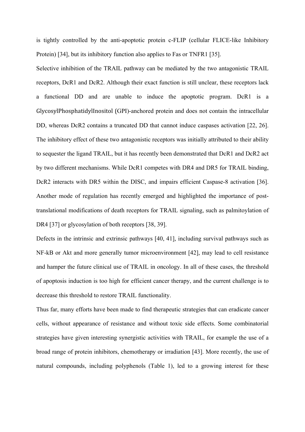is tightly controlled by the anti-apoptotic protein c-FLIP (cellular FLICE-like Inhibitory Protein) [34], but its inhibitory function also applies to Fas or TNFR1 [35].

Selective inhibition of the TRAIL pathway can be mediated by the two antagonistic TRAIL receptors, DcR1 and DcR2. Although their exact function is still unclear, these receptors lack a functional DD and are unable to induce the apoptotic program. DcR1 is a GlycosylPhosphatidylInositol (GPI)-anchored protein and does not contain the intracellular DD, whereas DcR2 contains a truncated DD that cannot induce caspases activation [22, 26]. The inhibitory effect of these two antagonistic receptors was initially attributed to their ability to sequester the ligand TRAIL, but it has recently been demonstrated that DcR1 and DcR2 act by two different mechanisms. While DcR1 competes with DR4 and DR5 for TRAIL binding, DcR2 interacts with DR5 within the DISC, and impairs efficient Caspase-8 activation [36]. Another mode of regulation has recently emerged and highlighted the importance of posttranslational modifications of death receptors for TRAIL signaling, such as palmitoylation of DR4 [37] or glycosylation of both receptors [38, 39].

Defects in the intrinsic and extrinsic pathways [40, 41], including survival pathways such as NF-kB or Akt and more generally tumor microenvironment [42], may lead to cell resistance and hamper the future clinical use of TRAIL in oncology. In all of these cases, the threshold of apoptosis induction is too high for efficient cancer therapy, and the current challenge is to decrease this threshold to restore TRAIL functionality.

Thus far, many efforts have been made to find therapeutic strategies that can eradicate cancer cells, without appearance of resistance and without toxic side effects. Some combinatorial strategies have given interesting synergistic activities with TRAIL, for example the use of a broad range of protein inhibitors, chemotherapy or irradiation [43]. More recently, the use of natural compounds, including polyphenols (Table 1), led to a growing interest for these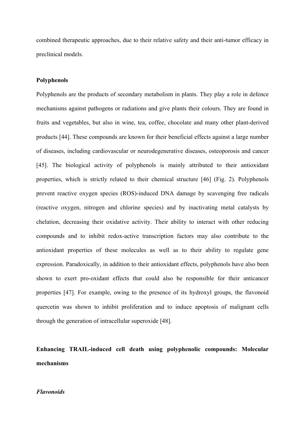combined therapeutic approaches, due to their relative safety and their anti-tumor efficacy in preclinical models.

#### **Polyphenols**

Polyphenols are the products of secondary metabolism in plants. They play a role in defence mechanisms against pathogens or radiations and give plants their colours. They are found in fruits and vegetables, but also in wine, tea, coffee, chocolate and many other plant-derived products [44]. These compounds are known for their beneficial effects against a large number of diseases, including cardiovascular or neurodegenerative diseases, osteoporosis and cancer [45]. The biological activity of polyphenols is mainly attributed to their antioxidant properties, which is strictly related to their chemical structure [46] (Fig. 2). Polyphenols prevent reactive oxygen species (ROS)-induced DNA damage by scavenging free radicals (reactive oxygen, nitrogen and chlorine species) and by inactivating metal catalysts by chelation, decreasing their oxidative activity. Their ability to interact with other reducing compounds and to inhibit redox-active transcription factors may also contribute to the antioxidant properties of these molecules as well as to their ability to regulate gene expression. Paradoxically, in addition to their antioxidant effects, polyphenols have also been shown to exert pro-oxidant effects that could also be responsible for their anticancer properties [47]. For example, owing to the presence of its hydroxyl groups, the flavonoid quercetin was shown to inhibit proliferation and to induce apoptosis of malignant cells through the generation of intracellular superoxide [48].

# **Enhancing TRAIL-induced cell death using polyphenolic compounds: Molecular mechanisms**

#### *Flavonoids*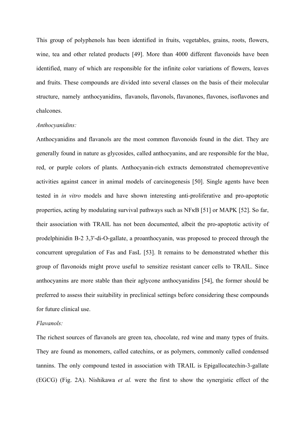This group of polyphenols has been identified in fruits, vegetables, grains, roots, flowers, wine, tea and other related products [49]. More than 4000 different flavonoids have been identified, many of which are responsible for the infinite color variations of flowers, leaves and fruits. These compounds are divided into several classes on the basis of their molecular structure, namely anthocyanidins, flavanols, flavonols, flavanones, flavones, isoflavones and chalcones.

#### *Anthocyanidins:*

Anthocyanidins and flavanols are the most common flavonoids found in the diet. They are generally found in nature as glycosides, called anthocyanins, and are responsible for the blue, red, or purple colors of plants. Anthocyanin-rich extracts demonstrated chemopreventive activities against cancer in animal models of carcinogenesis [50]. Single agents have been tested in *in vitro* models and have shown interesting anti-proliferative and pro-apoptotic properties, acting by modulating survival pathways such as NFκB [51] or MAPK [52]. So far, their association with TRAIL has not been documented, albeit the pro-apoptotic activity of prodelphinidin B-2 3,3'-di-O-gallate, a proanthocyanin, was proposed to proceed through the concurrent upregulation of Fas and FasL [53]. It remains to be demonstrated whether this group of flavonoids might prove useful to sensitize resistant cancer cells to TRAIL. Since anthocyanins are more stable than their aglycone anthocyanidins [54], the former should be preferred to assess their suitability in preclinical settings before considering these compounds for future clinical use.

# *Flavanols:*

The richest sources of flavanols are green tea, chocolate, red wine and many types of fruits. They are found as monomers, called catechins, or as polymers, commonly called condensed tannins. The only compound tested in association with TRAIL is Epigallocatechin-3-gallate (EGCG) (Fig. 2A). Nishikawa *et al.* were the first to show the synergistic effect of the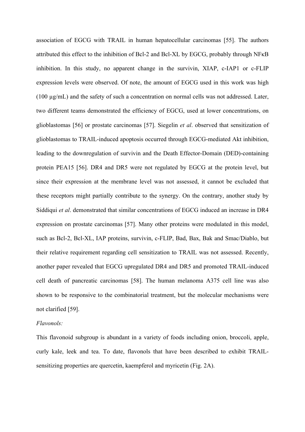association of EGCG with TRAIL in human hepatocellular carcinomas [55]. The authors attributed this effect to the inhibition of Bcl-2 and Bcl-XL by EGCG, probably through NFκB inhibition. In this study, no apparent change in the survivin, XIAP, c-IAP1 or c-FLIP expression levels were observed. Of note, the amount of EGCG used in this work was high (100 µg/mL) and the safety of such a concentration on normal cells was not addressed. Later, two different teams demonstrated the efficiency of EGCG, used at lower concentrations, on glioblastomas [56] or prostate carcinomas [57]. Siegelin *et al*. observed that sensitization of glioblastomas to TRAIL-induced apoptosis occurred through EGCG-mediated Akt inhibition, leading to the downregulation of survivin and the Death Effector-Domain (DED)-containing protein PEA15 [56]. DR4 and DR5 were not regulated by EGCG at the protein level, but since their expression at the membrane level was not assessed, it cannot be excluded that these receptors might partially contribute to the synergy. On the contrary, another study by Siddiqui *et al*. demonstrated that similar concentrations of EGCG induced an increase in DR4 expression on prostate carcinomas [57]. Many other proteins were modulated in this model, such as Bcl-2, Bcl-XL, IAP proteins, survivin, c-FLIP, Bad, Bax, Bak and Smac/Diablo, but their relative requirement regarding cell sensitization to TRAIL was not assessed. Recently, another paper revealed that EGCG upregulated DR4 and DR5 and promoted TRAIL-induced cell death of pancreatic carcinomas [58]. The human melanoma A375 cell line was also shown to be responsive to the combinatorial treatment, but the molecular mechanisms were not clarified [59].

# *Flavonols:*

This flavonoid subgroup is abundant in a variety of foods including onion, broccoli, apple, curly kale, leek and tea. To date, flavonols that have been described to exhibit TRAILsensitizing properties are quercetin, kaempferol and myricetin (Fig. 2A).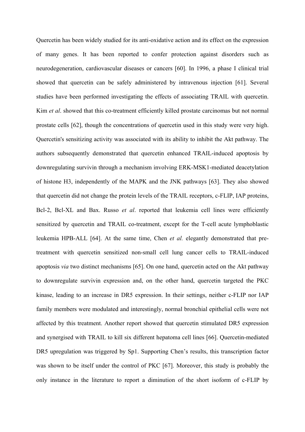Quercetin has been widely studied for its anti-oxidative action and its effect on the expression of many genes. It has been reported to confer protection against disorders such as neurodegeneration, cardiovascular diseases or cancers [60]. In 1996, a phase I clinical trial showed that quercetin can be safely administered by intravenous injection [61]. Several studies have been performed investigating the effects of associating TRAIL with quercetin. Kim *et al*. showed that this co-treatment efficiently killed prostate carcinomas but not normal prostate cells [62], though the concentrations of quercetin used in this study were very high. Quercetin's sensitizing activity was associated with its ability to inhibit the Akt pathway. The authors subsequently demonstrated that quercetin enhanced TRAIL-induced apoptosis by downregulating survivin through a mechanism involving ERK-MSK1-mediated deacetylation of histone H3, independently of the MAPK and the JNK pathways [63]. They also showed that quercetin did not change the protein levels of the TRAIL receptors, c-FLIP, IAP proteins, Bcl-2, Bcl-XL and Bax. Russo *et al*. reported that leukemia cell lines were efficiently sensitized by quercetin and TRAIL co-treatment, except for the T-cell acute lymphoblastic leukemia HPB-ALL [64]. At the same time, Chen *et al.* elegantly demonstrated that pretreatment with quercetin sensitized non-small cell lung cancer cells to TRAIL-induced apoptosis *via* two distinct mechanisms [65]. On one hand, quercetin acted on the Akt pathway to downregulate survivin expression and, on the other hand, quercetin targeted the PKC kinase, leading to an increase in DR5 expression. In their settings, neither c-FLIP nor IAP family members were modulated and interestingly, normal bronchial epithelial cells were not affected by this treatment. Another report showed that quercetin stimulated DR5 expression and synergised with TRAIL to kill six different hepatoma cell lines [66]. Quercetin-mediated DR5 upregulation was triggered by Sp1. Supporting Chen's results, this transcription factor was shown to be itself under the control of PKC [67]. Moreover, this study is probably the only instance in the literature to report a diminution of the short isoform of c-FLIP by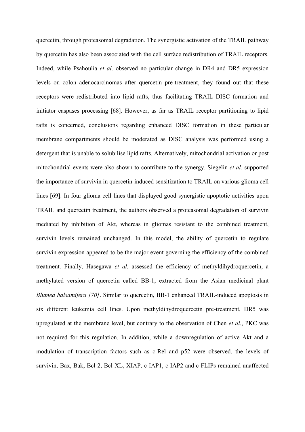quercetin, through proteasomal degradation. The synergistic activation of the TRAIL pathway by quercetin has also been associated with the cell surface redistribution of TRAIL receptors. Indeed, while Psahoulia *et al*. observed no particular change in DR4 and DR5 expression levels on colon adenocarcinomas after quercetin pre-treatment, they found out that these receptors were redistributed into lipid rafts, thus facilitating TRAIL DISC formation and initiator caspases processing [68]. However, as far as TRAIL receptor partitioning to lipid rafts is concerned, conclusions regarding enhanced DISC formation in these particular membrane compartments should be moderated as DISC analysis was performed using a detergent that is unable to solubilise lipid rafts. Alternatively, mitochondrial activation or post mitochondrial events were also shown to contribute to the synergy. Siegelin *et al.* supported the importance of survivin in quercetin-induced sensitization to TRAIL on various glioma cell lines [69]. In four glioma cell lines that displayed good synergistic apoptotic activities upon TRAIL and quercetin treatment, the authors observed a proteasomal degradation of survivin mediated by inhibition of Akt, whereas in gliomas resistant to the combined treatment, survivin levels remained unchanged. In this model, the ability of quercetin to regulate survivin expression appeared to be the major event governing the efficiency of the combined treatment. Finally, Hasegawa *et al.* assessed the efficiency of methyldihydroquercetin, a methylated version of quercetin called BB-1, extracted from the Asian medicinal plant *Blumea balsamifera [70]*. Similar to quercetin, BB-1 enhanced TRAIL-induced apoptosis in six different leukemia cell lines. Upon methyldihydroquercetin pre-treatment, DR5 was upregulated at the membrane level, but contrary to the observation of Chen *et al.*, PKC was not required for this regulation. In addition, while a downregulation of active Akt and a modulation of transcription factors such as c-Rel and p52 were observed, the levels of survivin, Bax, Bak, Bcl-2, Bcl-XL, XIAP, c-IAP1, c-IAP2 and c-FLIPs remained unaffected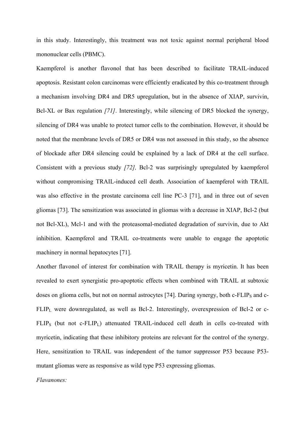in this study. Interestingly, this treatment was not toxic against normal peripheral blood mononuclear cells (PBMC).

Kaempferol is another flavonol that has been described to facilitate TRAIL-induced apoptosis. Resistant colon carcinomas were efficiently eradicated by this co-treatment through a mechanism involving DR4 and DR5 upregulation, but in the absence of XIAP, survivin, Bcl-XL or Bax regulation *[71]*. Interestingly, while silencing of DR5 blocked the synergy, silencing of DR4 was unable to protect tumor cells to the combination. However, it should be noted that the membrane levels of DR5 or DR4 was not assessed in this study, so the absence of blockade after DR4 silencing could be explained by a lack of DR4 at the cell surface. Consistent with a previous study *[72],* Bcl-2 was surprisingly upregulated by kaempferol without compromising TRAIL-induced cell death. Association of kaempferol with TRAIL was also effective in the prostate carcinoma cell line PC-3 [71], and in three out of seven gliomas [73]. The sensitization was associated in gliomas with a decrease in XIAP, Bcl-2 (but not Bcl-XL), Mcl-1 and with the proteasomal-mediated degradation of survivin, due to Akt inhibition. Kaempferol and TRAIL co-treatments were unable to engage the apoptotic machinery in normal hepatocytes [71].

Another flavonol of interest for combination with TRAIL therapy is myricetin. It has been revealed to exert synergistic pro-apoptotic effects when combined with TRAIL at subtoxic doses on glioma cells, but not on normal astrocytes [74]. During synergy, both c-FLIPs and c-FLIP<sub>L</sub> were downregulated, as well as Bcl-2. Interestingly, overexpression of Bcl-2 or c-FLIP<sub>S</sub> (but not c-FLIP<sub>L</sub>) attenuated TRAIL-induced cell death in cells co-treated with myricetin, indicating that these inhibitory proteins are relevant for the control of the synergy. Here, sensitization to TRAIL was independent of the tumor suppressor P53 because P53 mutant gliomas were as responsive as wild type P53 expressing gliomas.

#### *Flavanones:*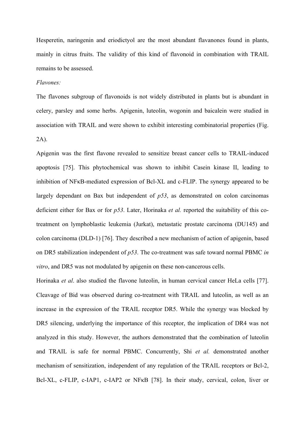Hesperetin, naringenin and eriodictyol are the most abundant flavanones found in plants, mainly in citrus fruits. The validity of this kind of flavonoid in combination with TRAIL remains to be assessed.

# *Flavones:*

The flavones subgroup of flavonoids is not widely distributed in plants but is abundant in celery, parsley and some herbs. Apigenin, luteolin, wogonin and baicalein were studied in association with TRAIL and were shown to exhibit interesting combinatorial properties (Fig. 2A).

Apigenin was the first flavone revealed to sensitize breast cancer cells to TRAIL-induced apoptosis [75]. This phytochemical was shown to inhibit Casein kinase II, leading to inhibition of NFκB-mediated expression of Bcl-XL and c-FLIP. The synergy appeared to be largely dependant on Bax but independent of *p53*, as demonstrated on colon carcinomas deficient either for Bax or for *p53*. Later, Horinaka *et al.* reported the suitability of this cotreatment on lymphoblastic leukemia (Jurkat), metastatic prostate carcinoma (DU145) and colon carcinoma (DLD-1) [76]. They described a new mechanism of action of apigenin, based on DR5 stabilization independent of *p53*. The co-treatment was safe toward normal PBMC *in vitro*, and DR5 was not modulated by apigenin on these non-cancerous cells.

Horinaka *et al*. also studied the flavone luteolin, in human cervical cancer HeLa cells [77]. Cleavage of Bid was observed during co-treatment with TRAIL and luteolin, as well as an increase in the expression of the TRAIL receptor DR5. While the synergy was blocked by DR5 silencing, underlying the importance of this receptor, the implication of DR4 was not analyzed in this study. However, the authors demonstrated that the combination of luteolin and TRAIL is safe for normal PBMC. Concurrently, Shi *et al.* demonstrated another mechanism of sensitization, independent of any regulation of the TRAIL receptors or Bcl-2, Bcl-XL, c-FLIP, c-IAP1, c-IAP2 or NF<sub>K</sub>B [78]. In their study, cervical, colon, liver or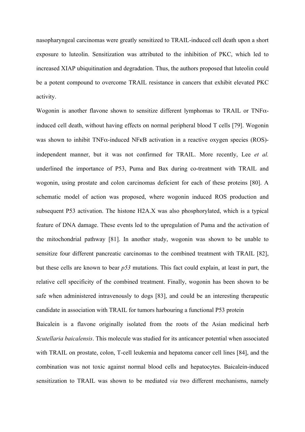nasopharyngeal carcinomas were greatly sensitized to TRAIL-induced cell death upon a short exposure to luteolin. Sensitization was attributed to the inhibition of PKC, which led to increased XIAP ubiquitination and degradation. Thus, the authors proposed that luteolin could be a potent compound to overcome TRAIL resistance in cancers that exhibit elevated PKC activity.

Wogonin is another flavone shown to sensitize different lymphomas to TRAIL or TNFαinduced cell death, without having effects on normal peripheral blood T cells [79]. Wogonin was shown to inhibit TNFα-induced NFκB activation in a reactive oxygen species (ROS) independent manner, but it was not confirmed for TRAIL. More recently, Lee *et al.* underlined the importance of P53, Puma and Bax during co-treatment with TRAIL and wogonin, using prostate and colon carcinomas deficient for each of these proteins [80]. A schematic model of action was proposed, where wogonin induced ROS production and subsequent P53 activation. The histone H2A.X was also phosphorylated, which is a typical feature of DNA damage. These events led to the upregulation of Puma and the activation of the mitochondrial pathway [81]. In another study, wogonin was shown to be unable to sensitize four different pancreatic carcinomas to the combined treatment with TRAIL [82], but these cells are known to bear *p53* mutations. This fact could explain, at least in part, the relative cell specificity of the combined treatment. Finally, wogonin has been shown to be safe when administered intravenously to dogs [83], and could be an interesting therapeutic candidate in association with TRAIL for tumors harbouring a functional P53 protein

Baicalein is a flavone originally isolated from the roots of the Asian medicinal herb *Scutellaria baicalensis*. This molecule was studied for its anticancer potential when associated with TRAIL on prostate, colon, T-cell leukemia and hepatoma cancer cell lines [84], and the combination was not toxic against normal blood cells and hepatocytes. Baicalein-induced sensitization to TRAIL was shown to be mediated *via* two different mechanisms, namely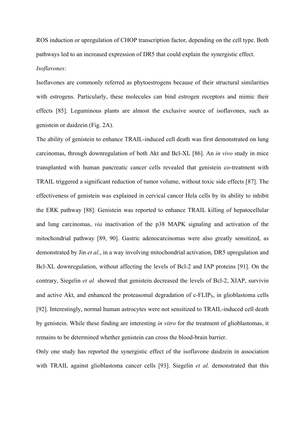ROS induction or upregulation of CHOP transcription factor, depending on the cell type. Both pathways led to an increased expression of DR5 that could explain the synergistic effect. *Isoflavones:*

Isoflavones are commonly referred as phytoestrogens because of their structural similarities with estrogens. Particularly, these molecules can bind estrogen receptors and mimic their effects [85]. Leguminous plants are almost the exclusive source of isoflavones, such as genistein or daidzein (Fig. 2A).

The ability of genistein to enhance TRAIL-induced cell death was first demonstrated on lung carcinomas, through downregulation of both Akt and Bcl-XL [86]. An *in vivo* study in mice transplanted with human pancreatic cancer cells revealed that genistein co-treatment with TRAIL triggered a significant reduction of tumor volume, without toxic side effects [87]. The effectiveness of genistein was explained in cervical cancer Hela cells by its ability to inhibit the ERK pathway [88]. Genistein was reported to enhance TRAIL killing of hepatocellular and lung carcinomas, *via* inactivation of the p38 MAPK signaling and activation of the mitochondrial pathway [89, 90]. Gastric adenocarcinomas were also greatly sensitized, as demonstrated by Jin *et al*., in a way involving mitochondrial activation, DR5 upregulation and Bcl-XL downregulation, without affecting the levels of Bcl-2 and IAP proteins [91]. On the contrary, Siegelin *et al.* showed that genistein decreased the levels of Bcl-2, XIAP, survivin and active Akt, and enhanced the proteasomal degradation of c-FLIP<sub>s</sub>, in glioblastoma cells [92]. Interestingly, normal human astrocytes were not sensitized to TRAIL-induced cell death by genistein. While these finding are interesting *in vitro* for the treatment of glioblastomas, it remains to be determined whether genistein can cross the blood-brain barrier.

Only one study has reported the synergistic effect of the isoflavone daidzein in association with TRAIL against glioblastoma cancer cells [93]. Siegelin *et al.* demonstrated that this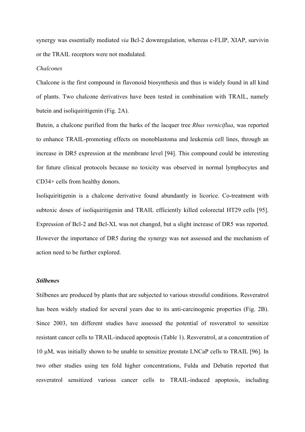synergy was essentially mediated *via* Bcl-2 downregulation, whereas c-FLIP, XIAP, survivin or the TRAIL receptors were not modulated.

#### *Chalcones*

Chalcone is the first compound in flavonoid biosynthesis and thus is widely found in all kind of plants. Two chalcone derivatives have been tested in combination with TRAIL, namely butein and isoliquiritigenin (Fig. 2A).

Butein, a chalcone purified from the barks of the lacquer tree *Rhus verniciflua*, was reported to enhance TRAIL-promoting effects on monoblastoma and leukemia cell lines, through an increase in DR5 expression at the membrane level [94]. This compound could be interesting for future clinical protocols because no toxicity was observed in normal lymphocytes and CD34+ cells from healthy donors.

Isoliquiritigenin is a chalcone derivative found abundantly in licorice. Co-treatment with subtoxic doses of isoliquiritigenin and TRAIL efficiently killed colorectal HT29 cells [95]. Expression of Bcl-2 and Bcl-XL was not changed, but a slight increase of DR5 was reported. However the importance of DR5 during the synergy was not assessed and the mechanism of action need to be further explored.

#### *Stilbenes*

Stilbenes are produced by plants that are subjected to various stressful conditions. Resveratrol has been widely studied for several years due to its anti-carcinogenic properties (Fig. 2B). Since 2003, ten different studies have assessed the potential of resveratrol to sensitize resistant cancer cells to TRAIL-induced apoptosis (Table 1). Resveratrol, at a concentration of 10 µM, was initially shown to be unable to sensitize prostate LNCaP cells to TRAIL [96]. In two other studies using ten fold higher concentrations, Fulda and Debatin reported that resveratrol sensitized various cancer cells to TRAIL-induced apoptosis, including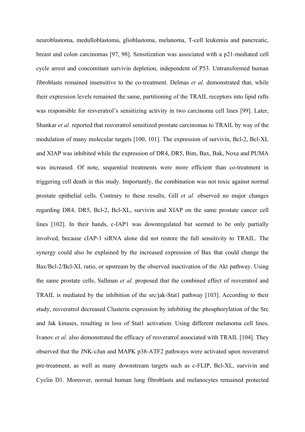neuroblastoma, medulloblastoma, glioblastoma, melanoma, T-cell leukemia and pancreatic, breast and colon carcinomas [97, 98]. Sensitization was associated with a p21-mediated cell cycle arrest and concomitant survivin depletion, independent of P53. Untransformed human fibroblasts remained insensitive to the co-treatment. Delmas *et al.* demonstrated that, while their expression levels remained the same, partitioning of the TRAIL receptors into lipid rafts was responsible for resveratrol's sensitizing activity in two carcinoma cell lines [99]. Later, Shankar *et al.* reported that resveratrol sensitized prostate carcinomas to TRAIL by way of the modulation of many molecular targets [100, 101]. The expression of survivin, Bcl-2, Bcl-XL and XIAP was inhibited while the expression of DR4, DR5, Bim, Bax, Bak, Noxa and PUMA was increased. Of note, sequential treatments were more efficient than co-treatment in triggering cell death in this study. Importantly, the combination was not toxic against normal prostate epithelial cells. Contrary to these results, Gill *et al.* observed no major changes regarding DR4, DR5, Bcl-2, Bcl-XL, survivin and XIAP on the same prostate cancer cell lines [102]. In their hands, c-IAP1 was downregulated but seemed to be only partially involved, because cIAP-1 siRNA alone did not restore the full sensitivity to TRAIL. The synergy could also be explained by the increased expression of Bax that could change the Bax/Bcl-2/Bcl-XL ratio, or upstream by the observed inactivation of the Akt pathway. Using the same prostate cells, Sallman *et al.* proposed that the combined effect of resveratrol and TRAIL is mediated by the inhibition of the src/jak-Stat1 pathway [103]. According to their study, resveratrol decreased Clusterin expression by inhibiting the phosphorylation of the Src and Jak kinases, resulting in loss of Stat1 activation. Using different melanoma cell lines, Ivanov *et al.* also demonstrated the efficacy of resveratrol associated with TRAIL [104]. They observed that the JNK-cJun and MAPK p38-ATF2 pathways were activated upon resveratrol pre-treatment, as well as many downstream targets such as c-FLIP, Bcl-XL, survivin and Cyclin D1. Moreover, normal human lung fibroblasts and melanocytes remained protected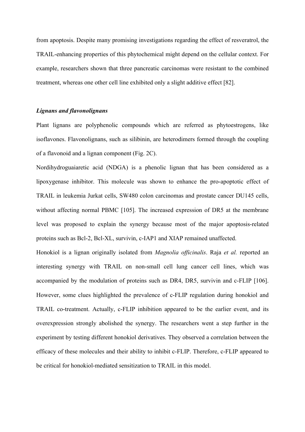from apoptosis. Despite many promising investigations regarding the effect of resveratrol, the TRAIL-enhancing properties of this phytochemical might depend on the cellular context. For example, researchers shown that three pancreatic carcinomas were resistant to the combined treatment, whereas one other cell line exhibited only a slight additive effect [82].

### *Lignans and flavonolignans*

Plant lignans are polyphenolic compounds which are referred as phytoestrogens, like isoflavones. Flavonolignans, such as silibinin, are heterodimers formed through the coupling of a flavonoid and a lignan component (Fig. 2C).

Nordihydroguaiaretic acid (NDGA) is a phenolic lignan that has been considered as a lipoxygenase inhibitor. This molecule was shown to enhance the pro-apoptotic effect of TRAIL in leukemia Jurkat cells, SW480 colon carcinomas and prostate cancer DU145 cells, without affecting normal PBMC [105]. The increased expression of DR5 at the membrane level was proposed to explain the synergy because most of the major apoptosis-related proteins such as Bcl-2, Bcl-XL, survivin, c-IAP1 and XIAP remained unaffected.

Honokiol is a lignan originally isolated from *Magnolia officinalis*. Raja *et al.* reported an interesting synergy with TRAIL on non-small cell lung cancer cell lines, which was accompanied by the modulation of proteins such as DR4, DR5, survivin and c-FLIP [106]. However, some clues highlighted the prevalence of c-FLIP regulation during honokiol and TRAIL co-treatment. Actually, c-FLIP inhibition appeared to be the earlier event, and its overexpression strongly abolished the synergy. The researchers went a step further in the experiment by testing different honokiol derivatives. They observed a correlation between the efficacy of these molecules and their ability to inhibit c-FLIP. Therefore, c-FLIP appeared to be critical for honokiol-mediated sensitization to TRAIL in this model.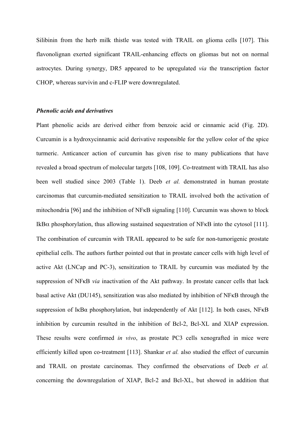Silibinin from the herb milk thistle was tested with TRAIL on glioma cells [107]. This flavonolignan exerted significant TRAIL-enhancing effects on gliomas but not on normal astrocytes. During synergy, DR5 appeared to be upregulated *via* the transcription factor CHOP, whereas survivin and c-FLIP were downregulated.

#### *Phenolic acids and derivatives*

Plant phenolic acids are derived either from benzoic acid or cinnamic acid (Fig. 2D). Curcumin is a hydroxycinnamic acid derivative responsible for the yellow color of the spice turmeric. Anticancer action of curcumin has given rise to many publications that have revealed a broad spectrum of molecular targets [108, 109]. Co-treatment with TRAIL has also been well studied since 2003 (Table 1). Deeb *et al.* demonstrated in human prostate carcinomas that curcumin-mediated sensitization to TRAIL involved both the activation of mitochondria [96] and the inhibition of NFκB signaling [110]. Curcumin was shown to block IkBα phosphorylation, thus allowing sustained sequestration of NFκB into the cytosol [111]. The combination of curcumin with TRAIL appeared to be safe for non-tumorigenic prostate epithelial cells. The authors further pointed out that in prostate cancer cells with high level of active Akt (LNCap and PC-3), sensitization to TRAIL by curcumin was mediated by the suppression of NFκB *via* inactivation of the Akt pathway. In prostate cancer cells that lack basal active Akt (DU145), sensitization was also mediated by inhibition of NFκB through the suppression of IκBα phosphorylation, but independently of Akt [112]. In both cases, NFκB inhibition by curcumin resulted in the inhibition of Bcl-2, Bcl-XL and XIAP expression. These results were confirmed *in vivo*, as prostate PC3 cells xenografted in mice were efficiently killed upon co-treatment [113]. Shankar *et al.* also studied the effect of curcumin and TRAIL on prostate carcinomas. They confirmed the observations of Deeb *et al.*  concerning the downregulation of XIAP, Bcl-2 and Bcl-XL, but showed in addition that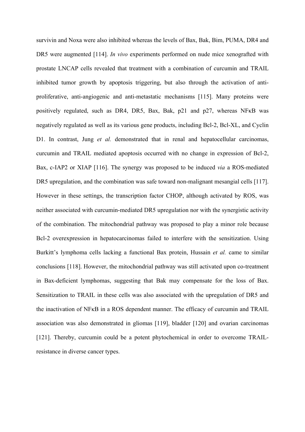survivin and Noxa were also inhibited whereas the levels of Bax, Bak, Bim, PUMA, DR4 and DR5 were augmented [114]. *In vivo* experiments performed on nude mice xenografted with prostate LNCAP cells revealed that treatment with a combination of curcumin and TRAIL inhibited tumor growth by apoptosis triggering, but also through the activation of antiproliferative, anti-angiogenic and anti-metastatic mechanisms [115]. Many proteins were positively regulated, such as DR4, DR5, Bax, Bak, p21 and p27, whereas NFκB was negatively regulated as well as its various gene products, including Bcl-2, Bcl-XL, and Cyclin D1. In contrast, Jung *et al.* demonstrated that in renal and hepatocellular carcinomas, curcumin and TRAIL mediated apoptosis occurred with no change in expression of Bcl-2, Bax, c-IAP2 or XIAP [116]. The synergy was proposed to be induced *via* a ROS-mediated DR5 upregulation, and the combination was safe toward non-malignant mesangial cells [117]. However in these settings, the transcription factor CHOP, although activated by ROS, was neither associated with curcumin-mediated DR5 upregulation nor with the synergistic activity of the combination. The mitochondrial pathway was proposed to play a minor role because Bcl-2 overexpression in hepatocarcinomas failed to interfere with the sensitization. Using Burkitt's lymphoma cells lacking a functional Bax protein, Hussain *et al.* came to similar conclusions [118]. However, the mitochondrial pathway was still activated upon co-treatment in Bax-deficient lymphomas, suggesting that Bak may compensate for the loss of Bax. Sensitization to TRAIL in these cells was also associated with the upregulation of DR5 and the inactivation of NFκB in a ROS dependent manner. The efficacy of curcumin and TRAIL association was also demonstrated in gliomas [119], bladder [120] and ovarian carcinomas [121]. Thereby, curcumin could be a potent phytochemical in order to overcome TRAILresistance in diverse cancer types.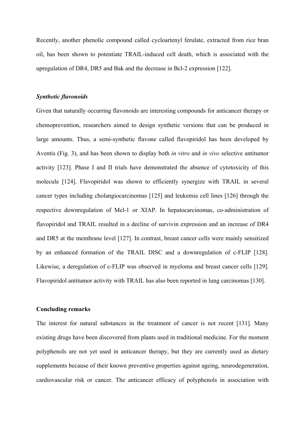Recently, another phenolic compound called cycloartenyl ferulate, extracted from rice bran oil, has been shown to potentiate TRAIL-induced cell death, which is associated with the upregulation of DR4, DR5 and Bak and the decrease in Bcl-2 expression [122].

#### *Synthetic flavonoids*

Given that naturally occurring flavonoids are interesting compounds for anticancer therapy or chemoprevention, researchers aimed to design synthetic versions that can be produced in large amounts. Thus, a semi-synthetic flavone called flavopiridol has been developed by Aventis (Fig. 3), and has been shown to display both *in vitro* and *in vivo* selective antitumor activity [123]. Phase I and II trials have demonstrated the absence of cytotoxicity of this molecule [124]. Flavopiridol was shown to efficiently synergize with TRAIL in several cancer types including cholangiocarcinomas [125] and leukemia cell lines [126] through the respective downregulation of Mcl-1 or XIAP. In hepatocarcinomas, co-administration of flavopiridol and TRAIL resulted in a decline of survivin expression and an increase of DR4 and DR5 at the membrane level [127]. In contrast, breast cancer cells were mainly sensitized by an enhanced formation of the TRAIL DISC and a downregulation of c-FLIP [128]. Likewise, a deregulation of c-FLIP was observed in myeloma and breast cancer cells [129]. Flavopiridol antitumor activity with TRAIL has also been reported in lung carcinomas [130].

#### **Concluding remarks**

The interest for natural substances in the treatment of cancer is not recent [131]. Many existing drugs have been discovered from plants used in traditional medicine. For the moment polyphenols are not yet used in anticancer therapy, but they are currently used as dietary supplements because of their known preventive properties against ageing, neurodegeneration, cardiovascular risk or cancer. The anticancer efficacy of polyphenols in association with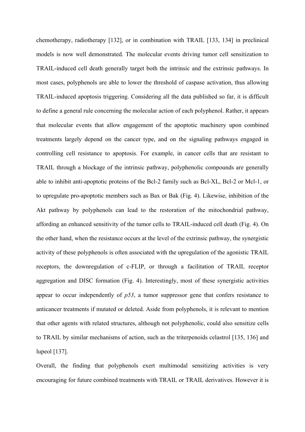chemotherapy, radiotherapy [132], or in combination with TRAIL [133, 134] in preclinical models is now well demonstrated. The molecular events driving tumor cell sensitization to TRAIL-induced cell death generally target both the intrinsic and the extrinsic pathways. In most cases, polyphenols are able to lower the threshold of caspase activation, thus allowing TRAIL-induced apoptosis triggering. Considering all the data published so far, it is difficult to define a general rule concerning the molecular action of each polyphenol. Rather, it appears that molecular events that allow engagement of the apoptotic machinery upon combined treatments largely depend on the cancer type, and on the signaling pathways engaged in controlling cell resistance to apoptosis. For example, in cancer cells that are resistant to TRAIL through a blockage of the intrinsic pathway, polyphenolic compounds are generally able to inhibit anti-apoptotic proteins of the Bcl-2 family such as Bcl-XL, Bcl-2 or Mcl-1, or to upregulate pro-apoptotic members such as Bax or Bak (Fig. 4). Likewise, inhibition of the Akt pathway by polyphenols can lead to the restoration of the mitochondrial pathway, affording an enhanced sensitivity of the tumor cells to TRAIL-induced cell death (Fig. 4). On the other hand, when the resistance occurs at the level of the extrinsic pathway, the synergistic activity of these polyphenols is often associated with the upregulation of the agonistic TRAIL receptors, the downregulation of c-FLIP, or through a facilitation of TRAIL receptor aggregation and DISC formation (Fig. 4). Interestingly, most of these synergistic activities appear to occur independently of *p53*, a tumor suppressor gene that confers resistance to anticancer treatments if mutated or deleted. Aside from polyphenols, it is relevant to mention that other agents with related structures, although not polyphenolic, could also sensitize cells to TRAIL by similar mechanisms of action, such as the triterpenoids celastrol [135, 136] and lupeol [137].

Overall, the finding that polyphenols exert multimodal sensitizing activities is very encouraging for future combined treatments with TRAIL or TRAIL derivatives. However it is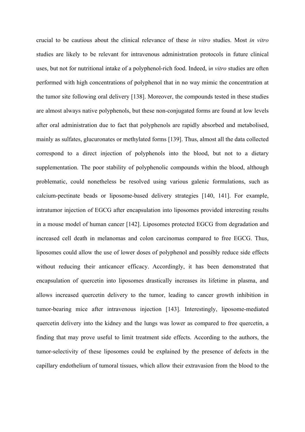crucial to be cautious about the clinical relevance of these *in vitro* studies. Most *in vitro* studies are likely to be relevant for intravenous administration protocols in future clinical uses, but not for nutritional intake of a polyphenol-rich food. Indeed, i*n vitro* studies are often performed with high concentrations of polyphenol that in no way mimic the concentration at the tumor site following oral delivery [138]. Moreover, the compounds tested in these studies are almost always native polyphenols, but these non-conjugated forms are found at low levels after oral administration due to fact that polyphenols are rapidly absorbed and metabolised, mainly as sulfates, glucuronates or methylated forms [139]. Thus, almost all the data collected correspond to a direct injection of polyphenols into the blood, but not to a dietary supplementation. The poor stability of polyphenolic compounds within the blood, although problematic, could nonetheless be resolved using various galenic formulations, such as calcium-pectinate beads or liposome-based delivery strategies [140, 141]. For example, intratumor injection of EGCG after encapsulation into liposomes provided interesting results in a mouse model of human cancer [142]. Liposomes protected EGCG from degradation and increased cell death in melanomas and colon carcinomas compared to free EGCG. Thus, liposomes could allow the use of lower doses of polyphenol and possibly reduce side effects without reducing their anticancer efficacy. Accordingly, it has been demonstrated that encapsulation of quercetin into liposomes drastically increases its lifetime in plasma, and allows increased quercetin delivery to the tumor, leading to cancer growth inhibition in tumor-bearing mice after intravenous injection [143]. Interestingly, liposome-mediated quercetin delivery into the kidney and the lungs was lower as compared to free quercetin, a finding that may prove useful to limit treatment side effects. According to the authors, the tumor-selectivity of these liposomes could be explained by the presence of defects in the capillary endothelium of tumoral tissues, which allow their extravasion from the blood to the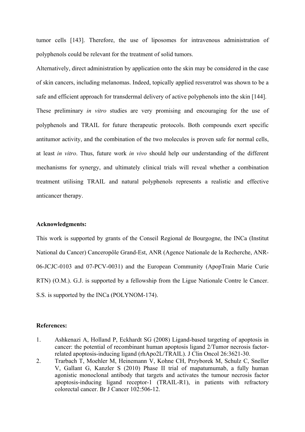tumor cells [143]. Therefore, the use of liposomes for intravenous administration of polyphenols could be relevant for the treatment of solid tumors.

Alternatively, direct administration by application onto the skin may be considered in the case of skin cancers, including melanomas. Indeed, topically applied resveratrol was shown to be a safe and efficient approach for transdermal delivery of active polyphenols into the skin [144]. These preliminary *in vitro* studies are very promising and encouraging for the use of polyphenols and TRAIL for future therapeutic protocols. Both compounds exert specific antitumor activity, and the combination of the two molecules is proven safe for normal cells, at least *in vitro*. Thus, future work *in vivo* should help our understanding of the different mechanisms for synergy, and ultimately clinical trials will reveal whether a combination treatment utilising TRAIL and natural polyphenols represents a realistic and effective anticancer therapy.

#### **Acknowledgments:**

This work is supported by grants of the Conseil Regional de Bourgogne, the INCa (Institut National du Cancer) Canceropôle Grand-Est, ANR (Agence Nationale de la Recherche, ANR-06-JCJC-0103 and 07-PCV-0031) and the European Community (ApopTrain Marie Curie RTN) (O.M.). G.J. is supported by a fellowship from the Ligue Nationale Contre le Cancer. S.S. is supported by the INCa (POLYNOM-174).

### **References:**

- 1. Ashkenazi A, Holland P, Eckhardt SG (2008) Ligand-based targeting of apoptosis in cancer: the potential of recombinant human apoptosis ligand 2/Tumor necrosis factorrelated apoptosis-inducing ligand (rhApo2L/TRAIL). J Clin Oncol 26:3621-30.
- 2. Trarbach T, Moehler M, Heinemann V, Kohne CH, Przyborek M, Schulz C, Sneller V, Gallant G, Kanzler S (2010) Phase II trial of mapatumumab, a fully human agonistic monoclonal antibody that targets and activates the tumour necrosis factor apoptosis-inducing ligand receptor-1 (TRAIL-R1), in patients with refractory colorectal cancer. Br J Cancer 102:506-12.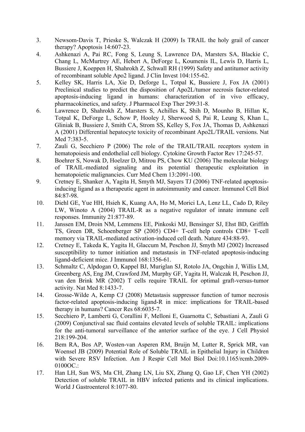- 3. Newsom-Davis T, Prieske S, Walczak H (2009) Is TRAIL the holy grail of cancer therapy? Apoptosis 14:607-23.
- 4. Ashkenazi A, Pai RC, Fong S, Leung S, Lawrence DA, Marsters SA, Blackie C, Chang L, McMurtrey AE, Hebert A, DeForge L, Koumenis IL, Lewis D, Harris L, Bussiere J, Koeppen H, Shahrokh Z, Schwall RH (1999) Safety and antitumor activity of recombinant soluble Apo2 ligand. J Clin Invest 104:155-62.
- 5. Kelley SK, Harris LA, Xie D, Deforge L, Totpal K, Bussiere J, Fox JA (2001) Preclinical studies to predict the disposition of Apo2L/tumor necrosis factor-related apoptosis-inducing ligand in humans: characterization of in vivo efficacy, pharmacokinetics, and safety. J Pharmacol Exp Ther 299:31-8.
- 6. Lawrence D, Shahrokh Z, Marsters S, Achilles K, Shih D, Mounho B, Hillan K, Totpal K, DeForge L, Schow P, Hooley J, Sherwood S, Pai R, Leung S, Khan L, Gliniak B, Bussiere J, Smith CA, Strom SS, Kelley S, Fox JA, Thomas D, Ashkenazi A (2001) Differential hepatocyte toxicity of recombinant Apo2L/TRAIL versions. Nat Med 7:383-5.
- 7. Zauli G, Secchiero P (2006) The role of the TRAIL/TRAIL receptors system in hematopoiesis and endothelial cell biology. Cytokine Growth Factor Rev 17:245-57.
- 8. Boehrer S, Nowak D, Hoelzer D, Mitrou PS, Chow KU (2006) The molecular biology of TRAIL-mediated signaling and its potential therapeutic exploitation in hematopoietic malignancies. Curr Med Chem 13:2091-100.
- 9. Cretney E, Shanker A, Yagita H, Smyth MJ, Sayers TJ (2006) TNF-related apoptosisinducing ligand as a therapeutic agent in autoimmunity and cancer. Immunol Cell Biol 84:87-98.
- 10. Diehl GE, Yue HH, Hsieh K, Kuang AA, Ho M, Morici LA, Lenz LL, Cado D, Riley LW, Winoto A (2004) TRAIL-R as a negative regulator of innate immune cell responses. Immunity 21:877-89.
- 11. Janssen EM, Droin NM, Lemmens EE, Pinkoski MJ, Bensinger SJ, Ehst BD, Griffith TS, Green DR, Schoenberger SP (2005) CD4+ T-cell help controls CD8+ T-cell memory via TRAIL-mediated activation-induced cell death. Nature 434:88-93.
- 12. Cretney E, Takeda K, Yagita H, Glaccum M, Peschon JJ, Smyth MJ (2002) Increased susceptibility to tumor initiation and metastasis in TNF-related apoptosis-inducing ligand-deficient mice. J Immunol 168:1356-61.
- 13. Schmaltz C, Alpdogan O, Kappel BJ, Muriglan SJ, Rotolo JA, Ongchin J, Willis LM, Greenberg AS, Eng JM, Crawford JM, Murphy GF, Yagita H, Walczak H, Peschon JJ, van den Brink MR (2002) T cells require TRAIL for optimal graft-versus-tumor activity. Nat Med 8:1433-7.
- 14. Grosse-Wilde A, Kemp CJ (2008) Metastasis suppressor function of tumor necrosis factor-related apoptosis-inducing ligand-R in mice: implications for TRAIL-based therapy in humans? Cancer Res 68:6035-7.
- 15. Secchiero P, Lamberti G, Corallini F, Melloni E, Guarnotta C, Sebastiani A, Zauli G (2009) Conjunctival sac fluid contains elevated levels of soluble TRAIL: implications for the anti-tumoral surveillance of the anterior surface of the eye. J Cell Physiol 218:199-204.
- 16. Bem RA, Bos AP, Wosten-van Asperen RM, Bruijn M, Lutter R, Sprick MR, van Woensel JB (2009) Potential Role of Soluble TRAIL in Epithelial Injury in Children with Severe RSV Infection. Am J Respir Cell Mol Biol Doi:10.1165/rcmb.2009- 0100OC.:
- 17. Han LH, Sun WS, Ma CH, Zhang LN, Liu SX, Zhang Q, Gao LF, Chen YH (2002) Detection of soluble TRAIL in HBV infected patients and its clinical implications. World J Gastroenterol 8:1077-80.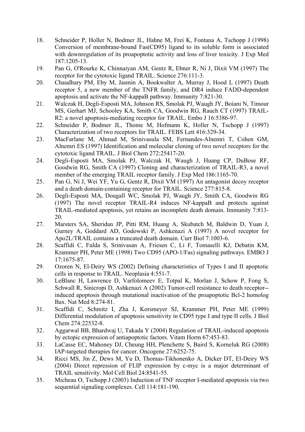- 18. Schneider P, Holler N, Bodmer JL, Hahne M, Frei K, Fontana A, Tschopp J (1998) Conversion of membrane-bound Fas(CD95) ligand to its soluble form is associated with downregulation of its proapoptotic activity and loss of liver toxicity. J Exp Med 187:1205-13.
- 19. Pan G, O'Rourke K, Chinnaiyan AM, Gentz R, Ebner R, Ni J, Dixit VM (1997) The receptor for the cytotoxic ligand TRAIL. Science 276:111-3.
- 20. Chaudhary PM, Eby M, Jasmin A, Bookwalter A, Murray J, Hood L (1997) Death receptor 5, a new member of the TNFR family, and DR4 induce FADD-dependent apoptosis and activate the NF-kappaB pathway. Immunity 7:821-30.
- 21. Walczak H, Degli-Esposti MA, Johnson RS, Smolak PJ, Waugh JY, Boiani N, Timour MS, Gerhart MJ, Schooley KA, Smith CA, Goodwin RG, Rauch CT (1997) TRAIL-R2: a novel apoptosis-mediating receptor for TRAIL. Embo J 16:5386-97.
- 22. Schneider P, Bodmer JL, Thome M, Hofmann K, Holler N, Tschopp J (1997) Characterization of two receptors for TRAIL. FEBS Lett 416:329-34.
- 23. MacFarlane M, Ahmad M, Srinivasula SM, Fernandes-Alnemri T, Cohen GM, Alnemri ES (1997) Identification and molecular cloning of two novel receptors for the cytotoxic ligand TRAIL. J Biol Chem 272:25417-20.
- 24. Degli-Esposti MA, Smolak PJ, Walczak H, Waugh J, Huang CP, DuBose RF, Goodwin RG, Smith CA (1997) Cloning and characterization of TRAIL-R3, a novel member of the emerging TRAIL receptor family. J Exp Med 186:1165-70.
- 25. Pan G, Ni J, Wei YF, Yu G, Gentz R, Dixit VM (1997) An antagonist decoy receptor and a death domain-containing receptor for TRAIL. Science 277:815-8.
- 26. Degli-Esposti MA, Dougall WC, Smolak PJ, Waugh JY, Smith CA, Goodwin RG (1997) The novel receptor TRAIL-R4 induces NF-kappaB and protects against TRAIL-mediated apoptosis, yet retains an incomplete death domain. Immunity 7:813- 20.
- 27. Marsters SA, Sheridan JP, Pitti RM, Huang A, Skubatch M, Baldwin D, Yuan J, Gurney A, Goddard AD, Godowski P, Ashkenazi A (1997) A novel receptor for Apo2L/TRAIL contains a truncated death domain. Curr Biol 7:1003-6.
- 28. Scaffidi C, Fulda S, Srinivasan A, Friesen C, Li F, Tomaselli KJ, Debatin KM, Krammer PH, Peter ME (1998) Two CD95 (APO-1/Fas) signaling pathways. EMBO J 17:1675-87.
- 29. Ozoren N, El-Deiry WS (2002) Defining characteristics of Types I and II apoptotic cells in response to TRAIL. Neoplasia 4:551-7.
- 30. LeBlanc H, Lawrence D, Varfolomeev E, Totpal K, Morlan J, Schow P, Fong S, Schwall R, Sinicropi D, Ashkenazi A (2002) Tumor-cell resistance to death receptor- induced apoptosis through mutational inactivation of the proapoptotic Bcl-2 homolog Bax. Nat Med 8:274-81.
- 31. Scaffidi C, Schmitz I, Zha J, Korsmeyer SJ, Krammer PH, Peter ME (1999) Differential modulation of apoptosis sensitivity in CD95 type I and type II cells. J Biol Chem 274:22532-8.
- 32. Aggarwal BB, Bhardwaj U, Takada Y (2004) Regulation of TRAIL-induced apoptosis by ectopic expression of antiapoptotic factors. Vitam Horm 67:453-83.
- 33. LaCasse EC, Mahoney DJ, Cheung HH, Plenchette S, Baird S, Korneluk RG (2008) IAP-targeted therapies for cancer. Oncogene 27:6252-75.
- 34. Ricci MS, Jin Z, Dews M, Yu D, Thomas-Tikhonenko A, Dicker DT, El-Deiry WS (2004) Direct repression of FLIP expression by c-myc is a major determinant of TRAIL sensitivity. Mol Cell Biol 24:8541-55.
- 35. Micheau O, Tschopp J (2003) Induction of TNF receptor I-mediated apoptosis via two sequential signaling complexes. Cell 114:181-190.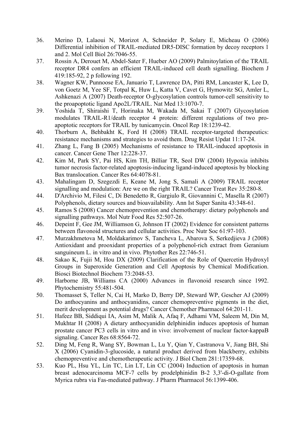- 36. Merino D, Lalaoui N, Morizot A, Schneider P, Solary E, Micheau O (2006) Differential inhibition of TRAIL-mediated DR5-DISC formation by decoy receptors 1 and 2. Mol Cell Biol 26:7046-55.
- 37. Rossin A, Derouet M, Abdel-Sater F, Hueber AO (2009) Palmitoylation of the TRAIL receptor DR4 confers an efficient TRAIL-induced cell death signalling. Biochem J 419:185-92, 2 p following 192.
- 38. Wagner KW, Punnoose EA, Januario T, Lawrence DA, Pitti RM, Lancaster K, Lee D, von Goetz M, Yee SF, Totpal K, Huw L, Katta V, Cavet G, Hymowitz SG, Amler L, Ashkenazi A (2007) Death-receptor O-glycosylation controls tumor-cell sensitivity to the proapoptotic ligand Apo2L/TRAIL. Nat Med 13:1070-7.
- 39. Yoshida T, Shiraishi T, Horinaka M, Wakada M, Sakai T (2007) Glycosylation modulates TRAIL-R1/death receptor 4 protein: different regulations of two proapoptotic receptors for TRAIL by tunicamycin. Oncol Rep 18:1239-42.
- 40. Thorburn A, Behbakht K, Ford H (2008) TRAIL receptor-targeted therapeutics: resistance mechanisms and strategies to avoid them. Drug Resist Updat 11:17-24.
- 41. Zhang L, Fang B (2005) Mechanisms of resistance to TRAIL-induced apoptosis in cancer. Cancer Gene Ther 12:228-37.
- 42. Kim M, Park SY, Pai HS, Kim TH, Billiar TR, Seol DW (2004) Hypoxia inhibits tumor necrosis factor-related apoptosis-inducing ligand-induced apoptosis by blocking Bax translocation. Cancer Res 64:4078-81.
- 43. Mahalingam D, Szegezdi E, Keane M, Jong S, Samali A (2009) TRAIL receptor signalling and modulation: Are we on the right TRAIL? Cancer Treat Rev 35:280-8.
- 44. D'Archivio M, Filesi C, Di Benedetto R, Gargiulo R, Giovannini C, Masella R (2007) Polyphenols, dietary sources and bioavailability. Ann Ist Super Sanita 43:348-61.
- 45. Ramos S (2008) Cancer chemoprevention and chemotherapy: dietary polyphenols and signalling pathways. Mol Nutr Food Res 52:507-26.
- 46. Depeint F, Gee JM, Williamson G, Johnson IT (2002) Evidence for consistent patterns between flavonoid structures and cellular activities. Proc Nutr Soc 61:97-103.
- 47. Murzakhmetova M, Moldakarimov S, Tancheva L, Abarova S, Serkedjieva J (2008) Antioxidant and prooxidant properties of a polyphenol-rich extract from Geranium sanguineum L. in vitro and in vivo. Phytother Res 22:746-51.
- 48. Sakao K, Fujii M, Hou DX (2009) Clarification of the Role of Quercetin Hydroxyl Groups in Superoxide Generation and Cell Apoptosis by Chemical Modification. Biosci Biotechnol Biochem 73:2048-53.
- 49. Harborne JB, Williams CA (2000) Advances in flavonoid research since 1992. Phytochemistry 55:481-504.
- 50. Thomasset S, Teller N, Cai H, Marko D, Berry DP, Steward WP, Gescher AJ (2009) Do anthocyanins and anthocyanidins, cancer chemopreventive pigments in the diet, merit development as potential drugs? Cancer Chemother Pharmacol 64:201-11.
- 51. Hafeez BB, Siddiqui IA, Asim M, Malik A, Afaq F, Adhami VM, Saleem M, Din M, Mukhtar H (2008) A dietary anthocyanidin delphinidin induces apoptosis of human prostate cancer PC3 cells in vitro and in vivo: involvement of nuclear factor-kappaB signaling. Cancer Res 68:8564-72.
- 52. Ding M, Feng R, Wang SY, Bowman L, Lu Y, Qian Y, Castranova V, Jiang BH, Shi X (2006) Cyanidin-3-glucoside, a natural product derived from blackberry, exhibits chemopreventive and chemotherapeutic activity. J Biol Chem 281:17359-68.
- 53. Kuo PL, Hsu YL, Lin TC, Lin LT, Lin CC (2004) Induction of apoptosis in human breast adenocarcinoma MCF-7 cells by prodelphinidin B-2 3,3'-di-O-gallate from Myrica rubra via Fas-mediated pathway. J Pharm Pharmacol 56:1399-406.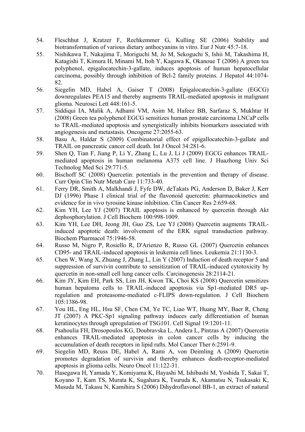- 54. Fleschhut J, Kratzer F, Rechkemmer G, Kulling SE (2006) Stability and biotransformation of various dietary anthocyanins in vitro. Eur J Nutr 45:7-18.
- 55. Nishikawa T, Nakajima T, Moriguchi M, Jo M, Sekoguchi S, Ishii M, Takashima H, Katagishi T, Kimura H, Minami M, Itoh Y, Kagawa K, Okanoue T (2006) A green tea polyphenol, epigalocatechin-3-gallate, induces apoptosis of human hepatocellular carcinoma, possibly through inhibition of Bcl-2 family proteins. J Hepatol 44:1074- 82.
- 56. Siegelin MD, Habel A, Gaiser T (2008) Epigalocatechin-3-gallate (EGCG) downregulates PEA15 and thereby augments TRAIL-mediated apoptosis in malignant glioma. Neurosci Lett 448:161-5.
- 57. Siddiqui IA, Malik A, Adhami VM, Asim M, Hafeez BB, Sarfaraz S, Mukhtar H (2008) Green tea polyphenol EGCG sensitizes human prostate carcinoma LNCaP cells to TRAIL-mediated apoptosis and synergistically inhibits biomarkers associated with angiogenesis and metastasis. Oncogene 27:2055-63.
- 58. Basu A, Haldar S (2009) Combinatorial effect of epigallocatechin-3-gallate and TRAIL on pancreatic cancer cell death. Int J Oncol 34:281-6.
- 59. Shen Q, Tian F, Jiang P, Li Y, Zhang L, Lu J, Li J (2009) EGCG enhances TRAILmediated apoptosis in human melanoma A375 cell line. J Huazhong Univ Sci Technolog Med Sci 29:771-5.
- 60. Bischoff SC (2008) Quercetin: potentials in the prevention and therapy of disease. Curr Opin Clin Nutr Metab Care 11:733-40.
- 61. Ferry DR, Smith A, Malkhandi J, Fyfe DW, deTakats PG, Anderson D, Baker J, Kerr DJ (1996) Phase I clinical trial of the flavonoid quercetin: pharmacokinetics and evidence for in vivo tyrosine kinase inhibition. Clin Cancer Res 2:659-68.
- 62. Kim YH, Lee YJ (2007) TRAIL apoptosis is enhanced by quercetin through Akt dephosphorylation. J Cell Biochem 100:998-1009.
- 63. Kim YH, Lee DH, Jeong JH, Guo ZS, Lee YJ (2008) Quercetin augments TRAILinduced apoptotic death: involvement of the ERK signal transduction pathway. Biochem Pharmacol 75:1946-58.
- 64. Russo M, Nigro P, Rosiello R, D'Arienzo R, Russo GL (2007) Quercetin enhances CD95- and TRAIL-induced apoptosis in leukemia cell lines. Leukemia 21:1130-3.
- 65. Chen W, Wang X, Zhuang J, Zhang L, Lin Y (2007) Induction of death receptor 5 and suppression of survivin contribute to sensitization of TRAIL-induced cytotoxicity by quercetin in non-small cell lung cancer cells. Carcinogenesis 28:2114-21.
- 66. Kim JY, Kim EH, Park SS, Lim JH, Kwon TK, Choi KS (2008) Quercetin sensitizes human hepatoma cells to TRAIL-induced apoptosis via Sp1-mediated DR5 upregulation and proteasome-mediated c-FLIPS down-regulation. J Cell Biochem 105:1386-98.
- 67. You HL, Eng HL, Hsu SF, Chen CM, Ye TC, Liao WT, Huang MY, Baer R, Cheng JT (2007) A PKC-Sp1 signaling pathway induces early differentiation of human keratinocytes through upregulation of TSG101. Cell Signal 19:1201-11.
- 68. Psahoulia FH, Drosopoulos KG, Doubravska L, Andera L, Pintzas A (2007) Quercetin enhances TRAIL-mediated apoptosis in colon cancer cells by inducing the accumulation of death receptors in lipid rafts. Mol Cancer Ther 6:2591-9.
- 69. Siegelin MD, Reuss DE, Habel A, Rami A, von Deimling A (2009) Quercetin promotes degradation of survivin and thereby enhances death-receptor-mediated apoptosis in glioma cells. Neuro Oncol 11:122-31.
- 70. Hasegawa H, Yamada Y, Komiyama K, Hayashi M, Ishibashi M, Yoshida T, Sakai T, Koyano T, Kam TS, Murata K, Sugahara K, Tsuruda K, Akamatsu N, Tsukasaki K, Masuda M, Takasu N, Kamihira S (2006) Dihydroflavonol BB-1, an extract of natural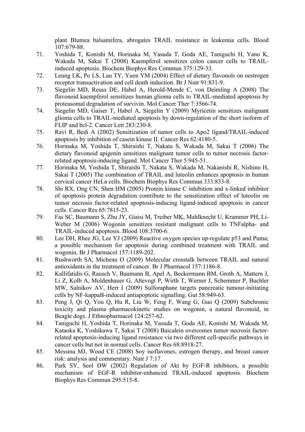plant Blumea balsamifera, abrogates TRAIL resistance in leukemia cells. Blood 107:679-88.

- 71. Yoshida T, Konishi M, Horinaka M, Yasuda T, Goda AE, Taniguchi H, Yano K, Wakada M, Sakai T (2008) Kaempferol sensitizes colon cancer cells to TRAILinduced apoptosis. Biochem Biophys Res Commun 375:129-33.
- 72. Leung LK, Po LS, Lau TY, Yuen YM (2004) Effect of dietary flavonols on oestrogen receptor transactivation and cell death induction. Br J Nutr 91:831-9.
- 73. Siegelin MD, Reuss DE, Habel A, Herold-Mende C, von Deimling A (2008) The flavonoid kaempferol sensitizes human glioma cells to TRAIL-mediated apoptosis by proteasomal degradation of survivin. Mol Cancer Ther 7:3566-74.
- 74. Siegelin MD, Gaiser T, Habel A, Siegelin Y (2009) Myricetin sensitizes malignant glioma cells to TRAIL-mediated apoptosis by down-regulation of the short isoform of FLIP and bcl-2. Cancer Lett 283:230-8.
- 75. Ravi R, Bedi A (2002) Sensitization of tumor cells to Apo2 ligand/TRAIL-induced apoptosis by inhibition of casein kinase II. Cancer Res 62:4180-5.
- 76. Horinaka M, Yoshida T, Shiraishi T, Nakata S, Wakada M, Sakai T (2006) The dietary flavonoid apigenin sensitizes malignant tumor cells to tumor necrosis factorrelated apoptosis-inducing ligand. Mol Cancer Ther 5:945-51.
- 77. Horinaka M, Yoshida T, Shiraishi T, Nakata S, Wakada M, Nakanishi R, Nishino H, Sakai T (2005) The combination of TRAIL and luteolin enhances apoptosis in human cervical cancer HeLa cells. Biochem Biophys Res Commun 333:833-8.
- 78. Shi RX, Ong CN, Shen HM (2005) Protein kinase C inhibition and x-linked inhibitor of apoptosis protein degradation contribute to the sensitization effect of luteolin on tumor necrosis factor-related apoptosis-inducing ligand-induced apoptosis in cancer cells. Cancer Res 65:7815-23.
- 79. Fas SC, Baumann S, Zhu JY, Giaisi M, Treiber MK, Mahlknecht U, Krammer PH, Li-Weber M (2006) Wogonin sensitizes resistant malignant cells to TNFalpha- and TRAIL-induced apoptosis. Blood 108:3700-6.
- 80. Lee DH, Rhee JG, Lee YJ (2009) Reactive oxygen species up-regulate p53 and Puma; a possible mechanism for apoptosis during combined treatment with TRAIL and wogonin. Br J Pharmacol 157:1189-202.
- 81. Rushworth SA, Micheau O (2009) Molecular crosstalk between TRAIL and natural antioxidants in the treatment of cancer. Br J Pharmacol 157:1186-8.
- 82. Kallifatidis G, Rausch V, Baumann B, Apel A, Beckermann BM, Groth A, Mattern J, Li Z, Kolb A, Moldenhauer G, Altevogt P, Wirth T, Werner J, Schemmer P, Buchler MW, Salnikov AV, Herr I (2009) Sulforaphane targets pancreatic tumour-initiating cells by NF-kappaB-induced antiapoptotic signalling. Gut 58:949-63.
- 83. Peng J, Qi Q, You Q, Hu R, Liu W, Feng F, Wang G, Guo Q (2009) Subchronic toxicity and plasma pharmacokinetic studies on wogonin, a natural flavonoid, in Beagle dogs. J Ethnopharmacol 124:257-62.
- 84. Taniguchi H, Yoshida T, Horinaka M, Yasuda T, Goda AE, Konishi M, Wakada M, Kataoka K, Yoshikawa T, Sakai T (2008) Baicalein overcomes tumor necrosis factorrelated apoptosis-inducing ligand resistance via two different cell-specific pathways in cancer cells but not in normal cells. Cancer Res 68:8918-27.
- 85. Messina MJ, Wood CE (2008) Soy isoflavones, estrogen therapy, and breast cancer risk: analysis and commentary. Nutr J 7:17.
- 86. Park SY, Seol DW (2002) Regulation of Akt by EGF-R inhibitors, a possible mechanism of EGF-R inhibitor-enhanced TRAIL-induced apoptosis. Biochem Biophys Res Commun 295:515-8.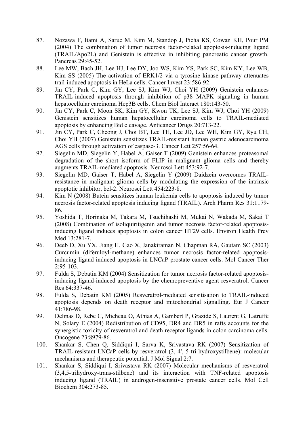- 87. Nozawa F, Itami A, Saruc M, Kim M, Standop J, Picha KS, Cowan KH, Pour PM (2004) The combination of tumor necrosis factor-related apoptosis-inducing ligand (TRAIL/Apo2L) and Genistein is effective in inhibiting pancreatic cancer growth. Pancreas 29:45-52.
- 88. Lee MW, Bach JH, Lee HJ, Lee DY, Joo WS, Kim YS, Park SC, Kim KY, Lee WB, Kim SS (2005) The activation of ERK1/2 via a tyrosine kinase pathway attenuates trail-induced apoptosis in HeLa cells. Cancer Invest 23:586-92.
- 89. Jin CY, Park C, Kim GY, Lee SJ, Kim WJ, Choi YH (2009) Genistein enhances TRAIL-induced apoptosis through inhibition of p38 MAPK signaling in human hepatocellular carcinoma Hep3B cells. Chem Biol Interact 180:143-50.
- 90. Jin CY, Park C, Moon SK, Kim GY, Kwon TK, Lee SJ, Kim WJ, Choi YH (2009) Genistein sensitizes human hepatocellular carcinoma cells to TRAIL-mediated apoptosis by enhancing Bid cleavage. Anticancer Drugs 20:713-22.
- 91. Jin CY, Park C, Cheong J, Choi BT, Lee TH, Lee JD, Lee WH, Kim GY, Ryu CH, Choi YH (2007) Genistein sensitizes TRAIL-resistant human gastric adenocarcinoma AGS cells through activation of caspase-3. Cancer Lett 257:56-64.
- 92. Siegelin MD, Siegelin Y, Habel A, Gaiser T (2009) Genistein enhances proteasomal degradation of the short isoform of FLIP in malignant glioma cells and thereby augments TRAIL-mediated apoptosis. Neurosci Lett 453:92-7.
- 93. Siegelin MD, Gaiser T, Habel A, Siegelin Y (2009) Daidzein overcomes TRAILresistance in malignant glioma cells by modulating the expression of the intrinsic apoptotic inhibitor, bcl-2. Neurosci Lett 454:223-8.
- 94. Kim N (2008) Butein sensitizes human leukemia cells to apoptosis induced by tumor necrosis factor-related apoptosis inducing ligand (TRAIL). Arch Pharm Res 31:1179- 86.
- 95. Yoshida T, Horinaka M, Takara M, Tsuchihashi M, Mukai N, Wakada M, Sakai T (2008) Combination of isoliquiritigenin and tumor necrosis factor-related apoptosisinducing ligand induces apoptosis in colon cancer HT29 cells. Environ Health Prev Med 13:281-7.
- 96. Deeb D, Xu YX, Jiang H, Gao X, Janakiraman N, Chapman RA, Gautam SC (2003) Curcumin (diferuloyl-methane) enhances tumor necrosis factor-related apoptosisinducing ligand-induced apoptosis in LNCaP prostate cancer cells. Mol Cancer Ther 2:95-103.
- 97. Fulda S, Debatin KM (2004) Sensitization for tumor necrosis factor-related apoptosisinducing ligand-induced apoptosis by the chemopreventive agent resveratrol. Cancer Res 64:337-46.
- 98. Fulda S, Debatin KM (2005) Resveratrol-mediated sensitisation to TRAIL-induced apoptosis depends on death receptor and mitochondrial signalling. Eur J Cancer 41:786-98.
- 99. Delmas D, Rebe C, Micheau O, Athias A, Gambert P, Grazide S, Laurent G, Latruffe N, Solary E (2004) Redistribution of CD95, DR4 and DR5 in rafts accounts for the synergistic toxicity of resveratrol and death receptor ligands in colon carcinoma cells. Oncogene 23:8979-86.
- 100. Shankar S, Chen Q, Siddiqui I, Sarva K, Srivastava RK (2007) Sensitization of TRAIL-resistant LNCaP cells by resveratrol (3, 4', 5 tri-hydroxystilbene): molecular mechanisms and therapeutic potential. J Mol Signal 2:7.
- 101. Shankar S, Siddiqui I, Srivastava RK (2007) Molecular mechanisms of resveratrol (3,4,5-trihydroxy-trans-stilbene) and its interaction with TNF-related apoptosis inducing ligand (TRAIL) in androgen-insensitive prostate cancer cells. Mol Cell Biochem 304:273-85.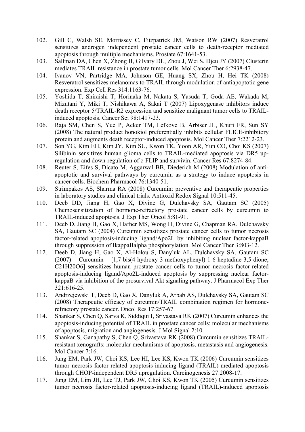- 102. Gill C, Walsh SE, Morrissey C, Fitzpatrick JM, Watson RW (2007) Resveratrol sensitizes androgen independent prostate cancer cells to death-receptor mediated apoptosis through multiple mechanisms. Prostate 67:1641-53.
- 103. Sallman DA, Chen X, Zhong B, Gilvary DL, Zhou J, Wei S, Djeu JY (2007) Clusterin mediates TRAIL resistance in prostate tumor cells. Mol Cancer Ther 6:2938-47.
- 104. Ivanov VN, Partridge MA, Johnson GE, Huang SX, Zhou H, Hei TK (2008) Resveratrol sensitizes melanomas to TRAIL through modulation of antiapoptotic gene expression. Exp Cell Res 314:1163-76.
- 105. Yoshida T, Shiraishi T, Horinaka M, Nakata S, Yasuda T, Goda AE, Wakada M, Mizutani Y, Miki T, Nishikawa A, Sakai T (2007) Lipoxygenase inhibitors induce death receptor 5/TRAIL-R2 expression and sensitize malignant tumor cells to TRAILinduced apoptosis. Cancer Sci 98:1417-23.
- 106. Raja SM, Chen S, Yue P, Acker TM, Lefkove B, Arbiser JL, Khuri FR, Sun SY (2008) The natural product honokiol preferentially inhibits cellular FLICE-inhibitory protein and augments death receptor-induced apoptosis. Mol Cancer Ther 7:2212-23.
- 107. Son YG, Kim EH, Kim JY, Kim SU, Kwon TK, Yoon AR, Yun CO, Choi KS (2007) Silibinin sensitizes human glioma cells to TRAIL-mediated apoptosis via DR5 upregulation and down-regulation of c-FLIP and survivin. Cancer Res 67:8274-84.
- 108. Reuter S, Eifes S, Dicato M, Aggarwal BB, Diederich M (2008) Modulation of antiapoptotic and survival pathways by curcumin as a strategy to induce apoptosis in cancer cells. Biochem Pharmacol 76:1340-51.
- 109. Strimpakos AS, Sharma RA (2008) Curcumin: preventive and therapeutic properties in laboratory studies and clinical trials. Antioxid Redox Signal 10:511-45.
- 110. Deeb DD, Jiang H, Gao X, Divine G, Dulchavsky SA, Gautam SC (2005) Chemosensitization of hormone-refractory prostate cancer cells by curcumin to TRAIL-induced apoptosis. J Exp Ther Oncol 5:81-91.
- 111. Deeb D, Jiang H, Gao X, Hafner MS, Wong H, Divine G, Chapman RA, Dulchavsky SA, Gautam SC (2004) Curcumin sensitizes prostate cancer cells to tumor necrosis factor-related apoptosis-inducing ligand/Apo2L by inhibiting nuclear factor-kappaB through suppression of IkappaBalpha phosphorylation. Mol Cancer Ther 3:803-12.
- 112. Deeb D, Jiang H, Gao X, Al-Holou S, Danyluk AL, Dulchavsky SA, Gautam SC (2007) Curcumin [1,7-bis(4-hydroxy-3-methoxyphenyl)-1-6-heptadine-3,5-dione; C21H20O6] sensitizes human prostate cancer cells to tumor necrosis factor-related apoptosis-inducing ligand/Apo2L-induced apoptosis by suppressing nuclear factorkappaB via inhibition of the prosurvival Akt signaling pathway. J Pharmacol Exp Ther 321:616-25.
- 113. Andrzejewski T, Deeb D, Gao X, Danyluk A, Arbab AS, Dulchavsky SA, Gautam SC (2008) Therapeutic efficacy of curcumin/TRAIL combination regimen for hormonerefractory prostate cancer. Oncol Res 17:257-67.
- 114. Shankar S, Chen Q, Sarva K, Siddiqui I, Srivastava RK (2007) Curcumin enhances the apoptosis-inducing potential of TRAIL in prostate cancer cells: molecular mechanisms of apoptosis, migration and angiogenesis. J Mol Signal 2:10.
- 115. Shankar S, Ganapathy S, Chen Q, Srivastava RK (2008) Curcumin sensitizes TRAILresistant xenografts: molecular mechanisms of apoptosis, metastasis and angiogenesis. Mol Cancer 7:16.
- 116. Jung EM, Park JW, Choi KS, Lee HI, Lee KS, Kwon TK (2006) Curcumin sensitizes tumor necrosis factor-related apoptosis-inducing ligand (TRAIL)-mediated apoptosis through CHOP-independent DR5 upregulation. Carcinogenesis 27:2008-17.
- 117. Jung EM, Lim JH, Lee TJ, Park JW, Choi KS, Kwon TK (2005) Curcumin sensitizes tumor necrosis factor-related apoptosis-inducing ligand (TRAIL)-induced apoptosis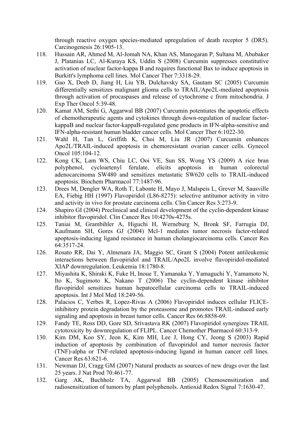through reactive oxygen species-mediated upregulation of death receptor 5 (DR5). Carcinogenesis 26:1905-13.

- 118. Hussain AR, Ahmed M, Al-Jomah NA, Khan AS, Manogaran P, Sultana M, Abubaker J, Platanias LC, Al-Kuraya KS, Uddin S (2008) Curcumin suppresses constitutive activation of nuclear factor-kappa B and requires functional Bax to induce apoptosis in Burkitt's lymphoma cell lines. Mol Cancer Ther 7:3318-29.
- 119. Gao X, Deeb D, Jiang H, Liu YB, Dulchavsky SA, Gautam SC (2005) Curcumin differentially sensitizes malignant glioma cells to TRAIL/Apo2L-mediated apoptosis through activation of procaspases and release of cytochrome c from mitochondria. J Exp Ther Oncol 5:39-48.
- 120. Kamat AM, Sethi G, Aggarwal BB (2007) Curcumin potentiates the apoptotic effects of chemotherapeutic agents and cytokines through down-regulation of nuclear factorkappaB and nuclear factor-kappaB-regulated gene products in IFN-alpha-sensitive and IFN-alpha-resistant human bladder cancer cells. Mol Cancer Ther 6:1022-30.
- 121. Wahl H, Tan L, Griffith K, Choi M, Liu JR (2007) Curcumin enhances Apo2L/TRAIL-induced apoptosis in chemoresistant ovarian cancer cells. Gynecol Oncol 105:104-12.
- 122. Kong CK, Lam WS, Chiu LC, Ooi VE, Sun SS, Wong YS (2009) A rice bran polyphenol, cycloartenyl ferulate, elicits apoptosis in human colorectal adenocarcinoma SW480 and sensitizes metastatic SW620 cells to TRAIL-induced apoptosis. Biochem Pharmacol 77:1487-96.
- 123. Drees M, Dengler WA, Roth T, Labonte H, Mayo J, Malspeis L, Grever M, Sausville EA, Fiebig HH (1997) Flavopiridol (L86-8275): selective antitumor activity in vitro and activity in vivo for prostate carcinoma cells. Clin Cancer Res 3:273-9.
- 124. Shapiro GI (2004) Preclinical and clinical development of the cyclin-dependent kinase inhibitor flavopiridol. Clin Cancer Res 10:4270s-4275s.
- 125. Taniai M, Grambihler A, Higuchi H, Werneburg N, Bronk SF, Farrugia DJ, Kaufmann SH, Gores GJ (2004) Mcl-1 mediates tumor necrosis factor-related apoptosis-inducing ligand resistance in human cholangiocarcinoma cells. Cancer Res 64:3517-24.
- 126. Rosato RR, Dai Y, Almenara JA, Maggio SC, Grant S (2004) Potent antileukemic interactions between flavopiridol and TRAIL/Apo2L involve flavopiridol-mediated XIAP downregulation. Leukemia 18:1780-8.
- 127. Miyashita K, Shiraki K, Fuke H, Inoue T, Yamanaka Y, Yamaguchi Y, Yamamoto N, Ito K, Sugimoto K, Nakano T (2006) The cyclin-dependent kinase inhibitor flavopiridol sensitizes human hepatocellular carcinoma cells to TRAIL-induced apoptosis. Int J Mol Med 18:249-56.
- 128. Palacios C, Yerbes R, Lopez-Rivas A (2006) Flavopiridol induces cellular FLICEinhibitory protein degradation by the proteasome and promotes TRAIL-induced early signaling and apoptosis in breast tumor cells. Cancer Res 66:8858-69.
- 129. Fandy TE, Ross DD, Gore SD, Srivastava RK (2007) Flavopiridol synergizes TRAIL cytotoxicity by downregulation of FLIPL. Cancer Chemother Pharmacol 60:313-9.
- 130. Kim DM, Koo SY, Jeon K, Kim MH, Lee J, Hong CY, Jeong S (2003) Rapid induction of apoptosis by combination of flavopiridol and tumor necrosis factor (TNF)-alpha or TNF-related apoptosis-inducing ligand in human cancer cell lines. Cancer Res 63:621-6.
- 131. Newman DJ, Cragg GM (2007) Natural products as sources of new drugs over the last 25 years. J Nat Prod 70:461-77.
- 132. Garg AK, Buchholz TA, Aggarwal BB (2005) Chemosensitization and radiosensitization of tumors by plant polyphenols. Antioxid Redox Signal 7:1630-47.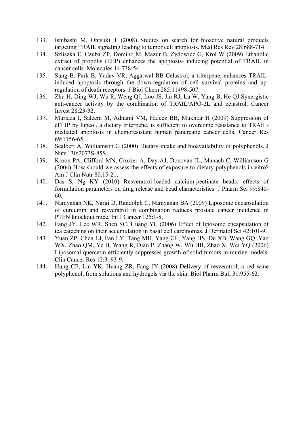- 133. Ishibashi M, Ohtsuki T (2008) Studies on search for bioactive natural products targeting TRAIL signaling leading to tumor cell apoptosis. Med Res Rev 28:688-714.
- 134. Szliszka E, Czuba ZP, Domino M, Mazur B, Zydowicz G, Krol W (2009) Ethanolic extract of propolis (EEP) enhances the apoptosis- inducing potential of TRAIL in cancer cells. Molecules 14:738-54.
- 135. Sung B, Park B, Yadav VR, Aggarwal BB Celastrol, a triterpene, enhances TRAILinduced apoptosis through the down-regulation of cell survival proteins and upregulation of death receptors. J Biol Chem 285:11498-507.
- 136. Zhu H, Ding WJ, Wu R, Weng QJ, Lou JS, Jin RJ, Lu W, Yang B, He QJ Synergistic anti-cancer activity by the combination of TRAIL/APO-2L and celastrol. Cancer Invest 28:23-32.
- 137. Murtaza I, Saleem M, Adhami VM, Hafeez BB, Mukhtar H (2009) Suppression of cFLIP by lupeol, a dietary triterpene, is sufficient to overcome resistance to TRAILmediated apoptosis in chemoresistant human pancreatic cancer cells. Cancer Res 69:1156-65.
- 138. Scalbert A, Williamson G (2000) Dietary intake and bioavailability of polyphenols. J Nutr 130:2073S-85S.
- 139. Kroon PA, Clifford MN, Crozier A, Day AJ, Donovan JL, Manach C, Williamson G (2004) How should we assess the effects of exposure to dietary polyphenols in vitro? Am J Clin Nutr 80:15-21.
- 140. Das S, Ng KY (2010) Resveratrol-loaded calcium-pectinate beads: effects of formulation parameters on drug release and bead characteristics. J Pharm Sci 99:840- 60.
- 141. Narayanan NK, Nargi D, Randolph C, Narayanan BA (2009) Liposome encapsulation of curcumin and resveratrol in combination reduces prostate cancer incidence in PTEN knockout mice. Int J Cancer 125:1-8.
- 142. Fang JY, Lee WR, Shen SC, Huang YL (2006) Effect of liposome encapsulation of tea catechins on their accumulation in basal cell carcinomas. J Dermatol Sci 42:101-9.
- 143. Yuan ZP, Chen LJ, Fan LY, Tang MH, Yang GL, Yang HS, Du XB, Wang GQ, Yao WX, Zhao QM, Ye B, Wang R, Diao P, Zhang W, Wu HB, Zhao X, Wei YQ (2006) Liposomal quercetin efficiently suppresses growth of solid tumors in murine models. Clin Cancer Res 12:3193-9.
- 144. Hung CF, Lin YK, Huang ZR, Fang JY (2008) Delivery of resveratrol, a red wine polyphenol, from solutions and hydrogels via the skin. Biol Pharm Bull 31:955-62.